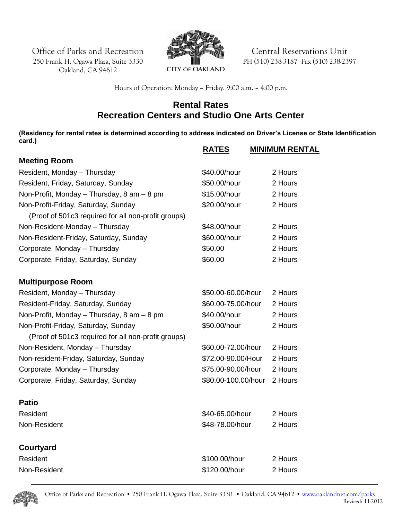Office of Parks and Recreation **Central Reservations Unit** 

250 Frank H. Ogawa Plaza, Suite 3330 Oakland, CA 94612



PH (510) 238-3187 Fax (510) 238-2397

Hours of Operation: Monday – Friday, 9:00 a.m. – 4:00 p.m.

## **Rental Rates Recreation Centers and Studio One Arts Center**

**(Residency for rental rates is determined according to address indicated on Driver's License or State Identification card.) RATES MINIMUM RENTAL**

|                                                     | <u>KAILS</u>        | <b>MINIMUM RENIA</b> |
|-----------------------------------------------------|---------------------|----------------------|
| <b>Meeting Room</b>                                 |                     |                      |
| Resident, Monday - Thursday                         | \$40.00/hour        | 2 Hours              |
| Resident, Friday, Saturday, Sunday                  | \$50.00/hour        | 2 Hours              |
| Non-Profit, Monday - Thursday, 8 am - 8 pm          | \$15.00/hour        | 2 Hours              |
| Non-Profit-Friday, Saturday, Sunday                 | \$20.00/hour        | 2 Hours              |
| (Proof of 501c3 required for all non-profit groups) |                     |                      |
| Non-Resident-Monday - Thursday                      | \$48.00/hour        | 2 Hours              |
| Non-Resident-Friday, Saturday, Sunday               | \$60.00/hour        | 2 Hours              |
| Corporate, Monday - Thursday                        | \$50.00             | 2 Hours              |
| Corporate, Friday, Saturday, Sunday                 | \$60.00             | 2 Hours              |
| <b>Multipurpose Room</b>                            |                     |                      |
| Resident, Monday - Thursday                         | \$50.00-60.00/hour  | 2 Hours              |
| Resident-Friday, Saturday, Sunday                   | \$60.00-75.00/hour  | 2 Hours              |
| Non-Profit, Monday - Thursday, 8 am - 8 pm          | \$40.00/hour        | 2 Hours              |
| Non-Profit-Friday, Saturday, Sunday                 | \$50.00/hour        | 2 Hours              |
| (Proof of 501c3 required for all non-profit groups) |                     |                      |
| Non-Resident, Monday - Thursday                     | \$60.00-72.00/hour  | 2 Hours              |
| Non-resident-Friday, Saturday, Sunday               | \$72.00-90.00/Hour  | 2 Hours              |
| Corporate, Monday - Thursday                        | \$75.00-90.00/hour  | 2 Hours              |
| Corporate, Friday, Saturday, Sunday                 | \$80.00-100.00/hour | 2 Hours              |
| <b>Patio</b>                                        |                     |                      |
| Resident                                            | \$40-65.00/hour     | 2 Hours              |
| Non-Resident                                        | \$48-78.00/hour     | 2 Hours              |
| Courtyard                                           |                     |                      |
| Resident                                            | \$100.00/hour       | 2 Hours              |
| Non-Resident                                        | \$120.00/hour       | 2 Hours              |
|                                                     |                     |                      |

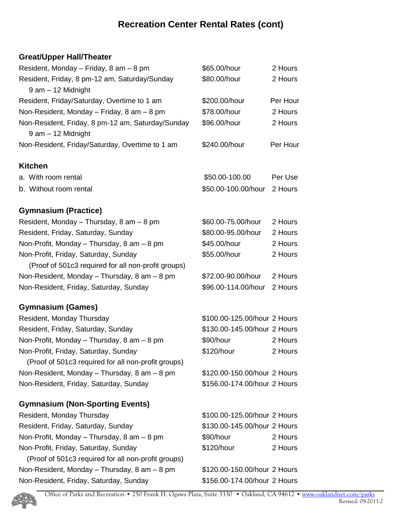# **Recreation Center Rental Rates (cont)**

## **Great/Upper Hall/Theater**

| Resident, Monday - Friday, 8 am - 8 pm              | \$65.00/hour                 | 2 Hours  |
|-----------------------------------------------------|------------------------------|----------|
| Resident, Friday, 8 pm-12 am, Saturday/Sunday       | \$80.00/hour                 | 2 Hours  |
| 9 am - 12 Midnight                                  |                              |          |
| Resident, Friday/Saturday, Overtime to 1 am         | \$200.00/hour                | Per Hour |
| Non-Resident, Monday - Friday, 8 am - 8 pm          | \$78.00/hour                 | 2 Hours  |
| Non-Resident, Friday, 8 pm-12 am, Saturday/Sunday   | \$96.00/hour                 | 2 Hours  |
| 9 am - 12 Midnight                                  |                              |          |
| Non-Resident, Friday/Saturday, Overtime to 1 am     | \$240.00/hour                | Per Hour |
| <b>Kitchen</b>                                      |                              |          |
| a. With room rental                                 | \$50.00-100.00               | Per Use  |
| b. Without room rental                              | \$50.00-100.00/hour          | 2 Hours  |
| <b>Gymnasium (Practice)</b>                         |                              |          |
| Resident, Monday - Thursday, 8 am - 8 pm            | \$60.00-75.00/hour           | 2 Hours  |
| Resident, Friday, Saturday, Sunday                  | \$80.00-95.00/hour           | 2 Hours  |
| Non-Profit, Monday - Thursday, 8 am - 8 pm          | \$45.00/hour                 | 2 Hours  |
| Non-Profit, Friday, Saturday, Sunday                | \$55.00/hour                 | 2 Hours  |
| (Proof of 501c3 required for all non-profit groups) |                              |          |
| Non-Resident, Monday - Thursday, 8 am - 8 pm        | \$72.00-90.00/hour           | 2 Hours  |
| Non-Resident, Friday, Saturday, Sunday              | \$96.00-114.00/hour          | 2 Hours  |
| <b>Gymnasium (Games)</b>                            |                              |          |
| Resident, Monday Thursday                           | \$100.00-125.00/hour 2 Hours |          |
| Resident, Friday, Saturday, Sunday                  | \$130.00-145.00/hour 2 Hours |          |
| Non-Profit, Monday - Thursday, 8 am - 8 pm          | \$90/hour                    | 2 Hours  |
| Non-Profit, Friday, Saturday, Sunday                | \$120/hour                   | 2 Hours  |
| (Proof of 501c3 required for all non-profit groups) |                              |          |
| Non-Resident, Monday - Thursday, 8 am - 8 pm        | \$120.00-150.00/hour 2 Hours |          |
| Non-Resident, Friday, Saturday, Sunday              | \$156.00-174.00/hour 2 Hours |          |
| <b>Gymnasium (Non-Sporting Events)</b>              |                              |          |
| Resident, Monday Thursday                           | \$100.00-125.00/hour 2 Hours |          |
| Resident, Friday, Saturday, Sunday                  | \$130.00-145.00/hour 2 Hours |          |
| Non-Profit, Monday - Thursday, 8 am - 8 pm          | \$90/hour                    | 2 Hours  |
| Non-Profit, Friday, Saturday, Sunday                | \$120/hour                   | 2 Hours  |
| (Proof of 501c3 required for all non-profit groups) |                              |          |
| Non-Resident, Monday - Thursday, 8 am - 8 pm        | \$120.00-150.00/hour 2 Hours |          |
| Non-Resident, Friday, Saturday, Sunday              | \$156.00-174.00/hour 2 Hours |          |